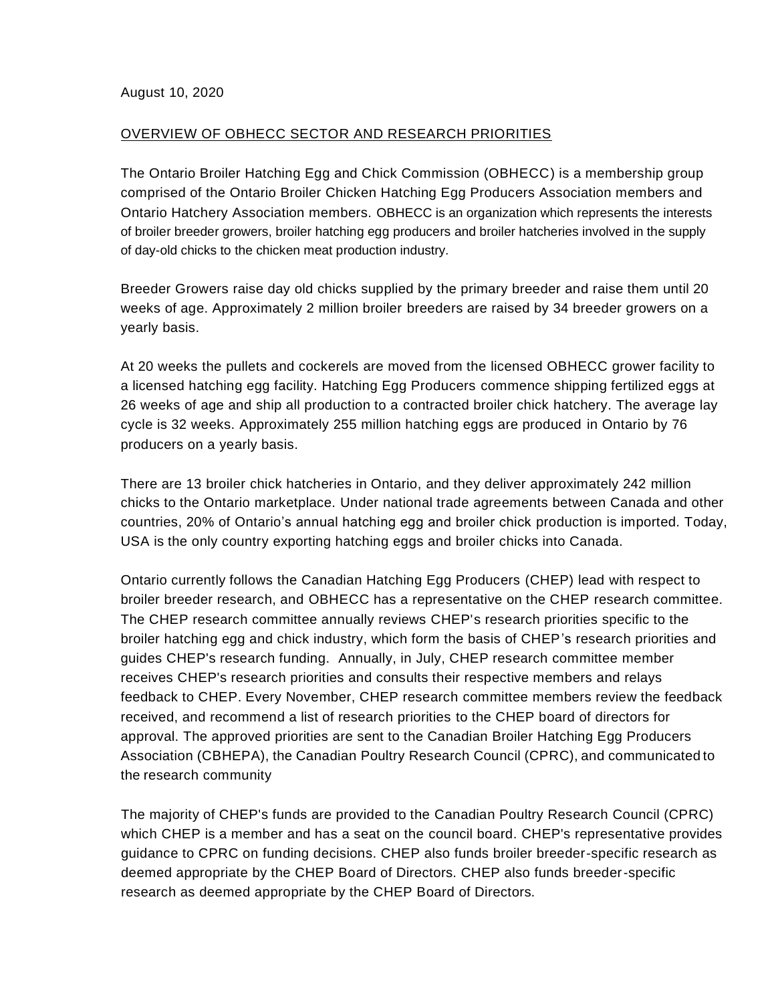## OVERVIEW OF OBHECC SECTOR AND RESEARCH PRIORITIES

The Ontario Broiler Hatching Egg and Chick Commission (OBHECC) is a membership group comprised of the Ontario Broiler Chicken Hatching Egg Producers Association members and Ontario Hatchery Association members. OBHECC is an organization which represents the interests of broiler breeder growers, broiler hatching egg producers and broiler hatcheries involved in the supply of day-old chicks to the chicken meat production industry.

Breeder Growers raise day old chicks supplied by the primary breeder and raise them until 20 weeks of age. Approximately 2 million broiler breeders are raised by 34 breeder growers on a yearly basis.

At 20 weeks the pullets and cockerels are moved from the licensed OBHECC grower facility to a licensed hatching egg facility. Hatching Egg Producers commence shipping fertilized eggs at 26 weeks of age and ship all production to a contracted broiler chick hatchery. The average lay cycle is 32 weeks. Approximately 255 million hatching eggs are produced in Ontario by 76 producers on a yearly basis.

There are 13 broiler chick hatcheries in Ontario, and they deliver approximately 242 million chicks to the Ontario marketplace. Under national trade agreements between Canada and other countries, 20% of Ontario's annual hatching egg and broiler chick production is imported. Today, USA is the only country exporting hatching eggs and broiler chicks into Canada.

Ontario currently follows the Canadian Hatching Egg Producers (CHEP) lead with respect to broiler breeder research, and OBHECC has a representative on the CHEP research committee. The CHEP research committee annually reviews CHEP's research priorities specific to the broiler hatching egg and chick industry, which form the basis of CHEP's research priorities and guides CHEP's research funding. Annually, in July, CHEP research committee member receives CHEP's research priorities and consults their respective members and relays feedback to CHEP. Every November, CHEP research committee members review the feedback received, and recommend a list of research priorities to the CHEP board of directors for approval. The approved priorities are sent to the Canadian Broiler Hatching Egg Producers Association (CBHEPA), the Canadian Poultry Research Council (CPRC), and communicated to the research community

The majority of CHEP's funds are provided to the Canadian Poultry Research Council (CPRC) which CHEP is a member and has a seat on the council board. CHEP's representative provides guidance to CPRC on funding decisions. CHEP also funds broiler breeder-specific research as deemed appropriate by the CHEP Board of Directors. CHEP also funds breeder-specific research as deemed appropriate by the CHEP Board of Directors.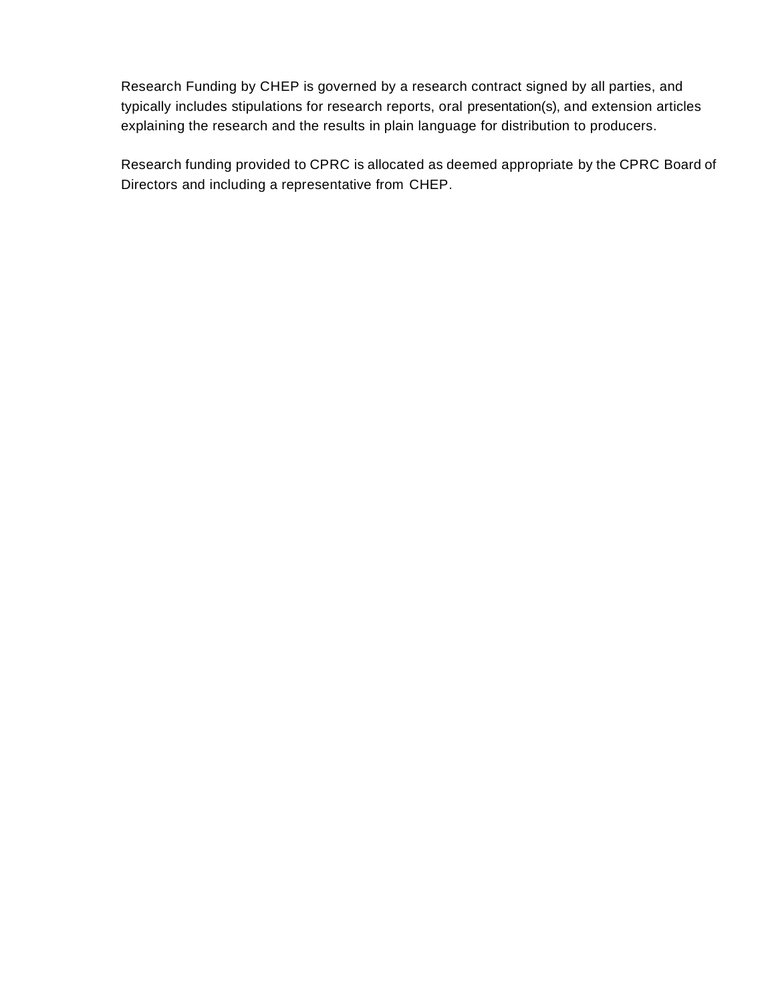Research Funding by CHEP is governed by a research contract signed by all parties, and typically includes stipulations for research reports, oral presentation(s), and extension articles explaining the research and the results in plain language for distribution to producers.

Research funding provided to CPRC is allocated as deemed appropriate by the CPRC Board of Directors and including a representative from CHEP.